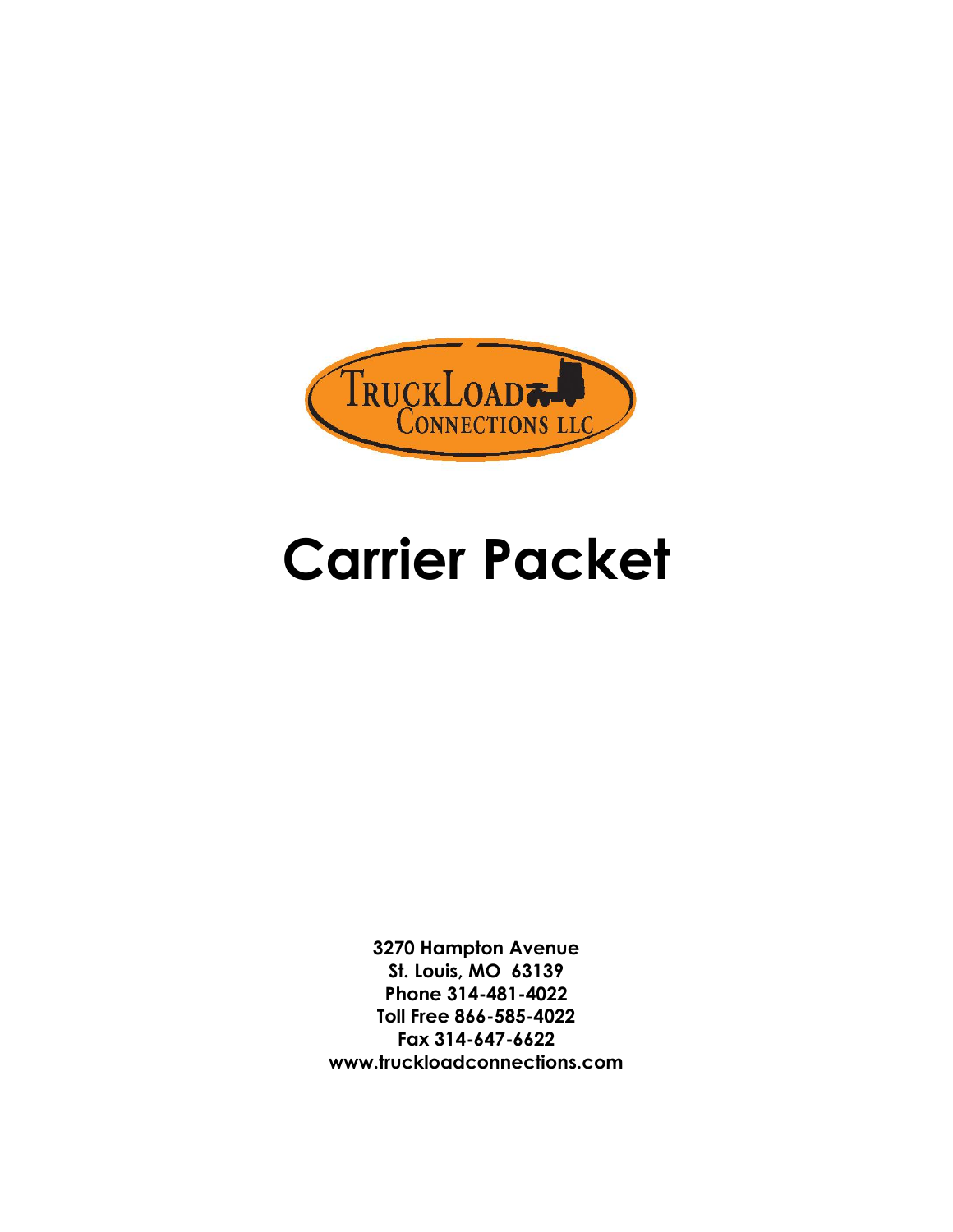

## **Carrier Packet**

**3270 Hampton Avenue St. Louis, MO 63139 Phone 314-481-4022 Toll Free 866-585-4022 Fax 314-647-6622 www.truckloadconnections.com**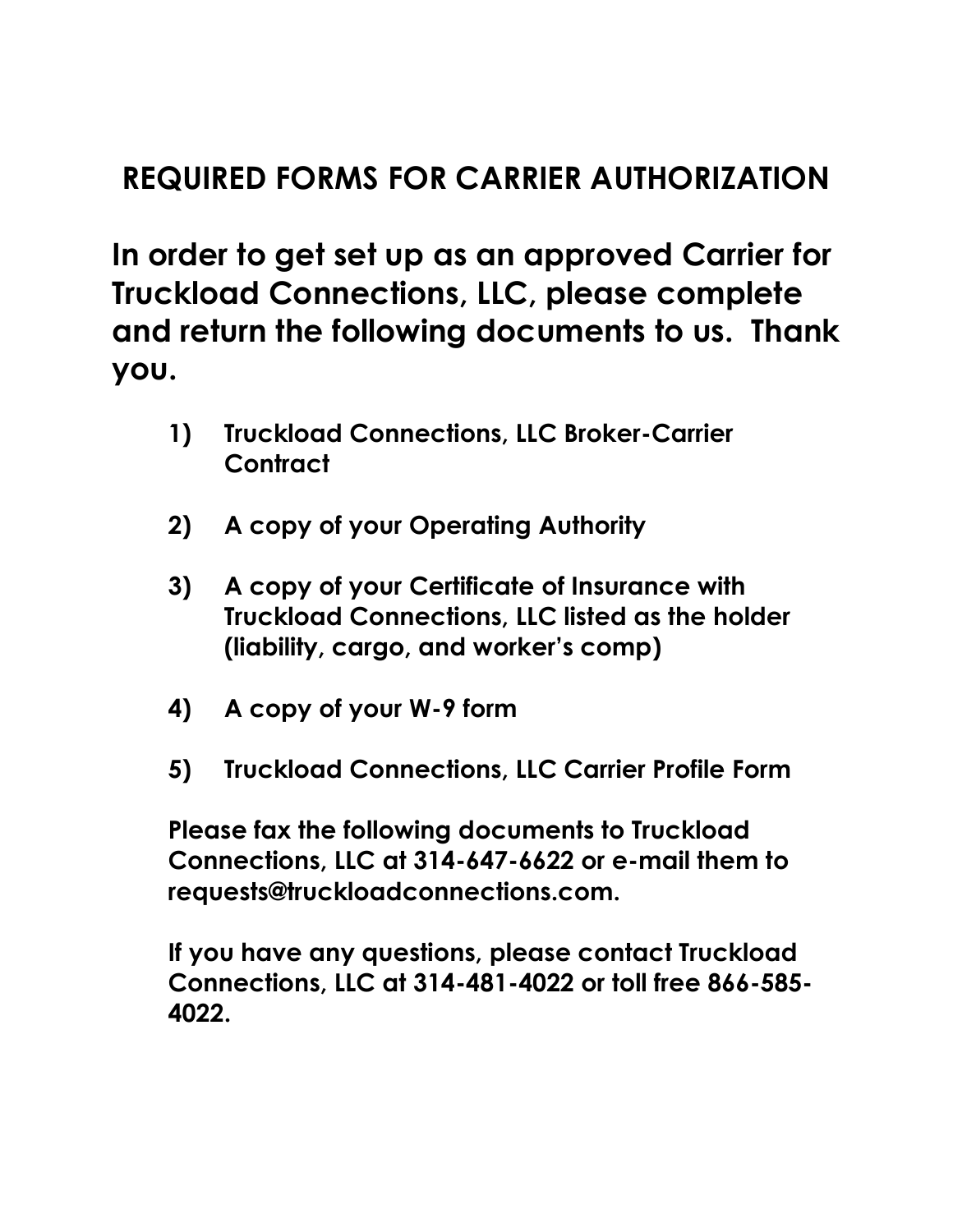## **REQUIRED FORMS FOR CARRIER AUTHORIZATION**

**In order to get set up as an approved Carrier for Truckload Connections, LLC, please complete and return the following documents to us. Thank you.** 

- **1) Truckload Connections, LLC Broker-Carrier Contract**
- **2) A copy of your Operating Authority**
- **3) A copy of your Certificate of Insurance with Truckload Connections, LLC listed as the holder (liability, cargo, and worker's comp)**
- **4) A copy of your W-9 form**
- **5) Truckload Connections, LLC Carrier Profile Form**

**Please fax the following documents to Truckload Connections, LLC at 314-647-6622 or e-mail them to requests@truckloadconnections.com.** 

**If you have any questions, please contact Truckload Connections, LLC at 314-481-4022 or toll free 866-585- 4022.**